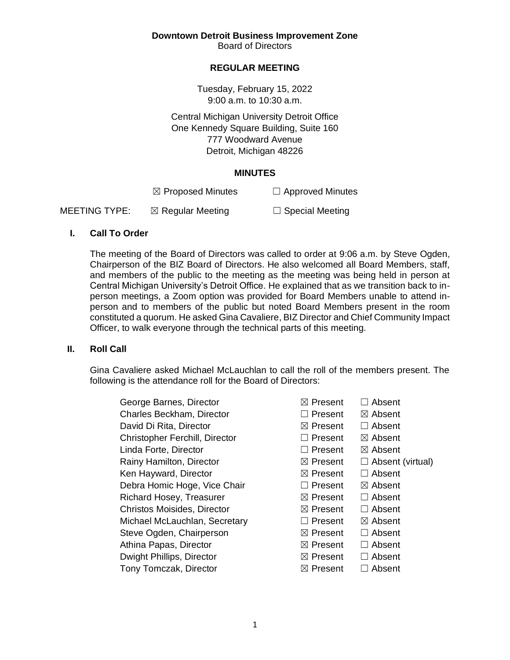**Downtown Detroit Business Improvement Zone**

Board of Directors

# **REGULAR MEETING**

Tuesday, February 15, 2022 9:00 a.m. to 10:30 a.m.

Central Michigan University Detroit Office One Kennedy Square Building, Suite 160 777 Woodward Avenue Detroit, Michigan 48226

#### **MINUTES**

 $\boxtimes$  Proposed Minutes  $\Box$  Approved Minutes

MEETING TYPE:  $\boxtimes$  Regular Meeting  $\Box$  Special Meeting

# **I. Call To Order**

The meeting of the Board of Directors was called to order at 9:06 a.m. by Steve Ogden, Chairperson of the BIZ Board of Directors. He also welcomed all Board Members, staff, and members of the public to the meeting as the meeting was being held in person at Central Michigan University's Detroit Office. He explained that as we transition back to inperson meetings, a Zoom option was provided for Board Members unable to attend inperson and to members of the public but noted Board Members present in the room constituted a quorum. He asked Gina Cavaliere, BIZ Director and Chief Community Impact Officer, to walk everyone through the technical parts of this meeting.

# **II. Roll Call**

Gina Cavaliere asked Michael McLauchlan to call the roll of the members present. The following is the attendance roll for the Board of Directors:

| George Barnes, Director          |
|----------------------------------|
| <b>Charles Beckham, Director</b> |
| David Di Rita, Director          |
| Christopher Ferchill, Director   |
| Linda Forte, Director            |
| Rainy Hamilton, Director         |
| Ken Hayward, Director            |
| Debra Homic Hoge, Vice Chair     |
| Richard Hosey, Treasurer         |
| Christos Moisides, Director      |
| Michael McLauchlan, Secretary    |
| Steve Ogden, Chairperson         |
| Athina Papas, Director           |
| Dwight Phillips, Director        |
| <b>Tony Tomczak, Director</b>    |

 $\boxtimes$  **Present** □ Absent □ Present ⊠ Absent  $\boxtimes$  **Present** □ Absent □ Present ⊠ Absent □ Present ⊠ Absent  $\boxtimes$  Present  $\Box$  Absent (virtual)  $\boxtimes$  Present  $\Box$  Absent □ Present ⊠ Absent  $\boxtimes$  **Present □ Absent**  $⊠$  **Present** □ Absent □ Present ⊠ Absent  $\boxtimes$  **Present □ Absent**  $\boxtimes$  Present  $\Box$  Absent  $⊠$  **Present** □ Absent  $⊠$  **Present** □ Absent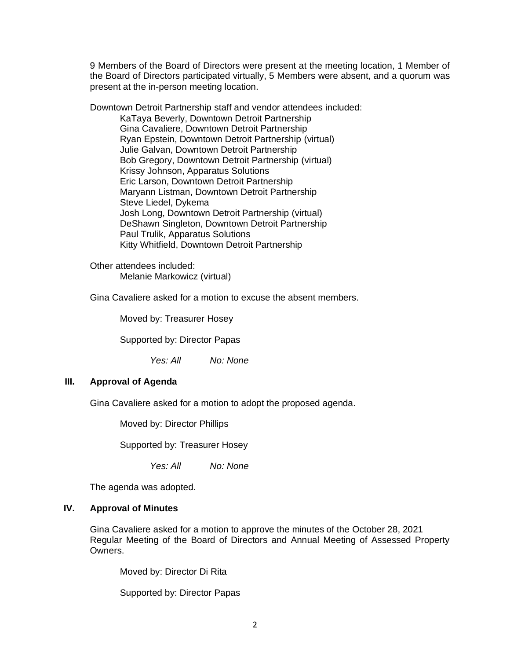9 Members of the Board of Directors were present at the meeting location, 1 Member of the Board of Directors participated virtually, 5 Members were absent, and a quorum was present at the in-person meeting location.

Downtown Detroit Partnership staff and vendor attendees included: KaTaya Beverly, Downtown Detroit Partnership Gina Cavaliere, Downtown Detroit Partnership Ryan Epstein, Downtown Detroit Partnership (virtual) Julie Galvan, Downtown Detroit Partnership Bob Gregory, Downtown Detroit Partnership (virtual) Krissy Johnson, Apparatus Solutions Eric Larson, Downtown Detroit Partnership Maryann Listman, Downtown Detroit Partnership Steve Liedel, Dykema Josh Long, Downtown Detroit Partnership (virtual) DeShawn Singleton, Downtown Detroit Partnership Paul Trulik, Apparatus Solutions Kitty Whitfield, Downtown Detroit Partnership

Other attendees included: Melanie Markowicz (virtual)

Gina Cavaliere asked for a motion to excuse the absent members.

Moved by: Treasurer Hosey

Supported by: Director Papas

*Yes: All No: None*

# **III. Approval of Agenda**

Gina Cavaliere asked for a motion to adopt the proposed agenda.

Moved by: Director Phillips

Supported by: Treasurer Hosey

*Yes: All No: None*

The agenda was adopted.

## **IV. Approval of Minutes**

Gina Cavaliere asked for a motion to approve the minutes of the October 28, 2021 Regular Meeting of the Board of Directors and Annual Meeting of Assessed Property Owners.

Moved by: Director Di Rita

Supported by: Director Papas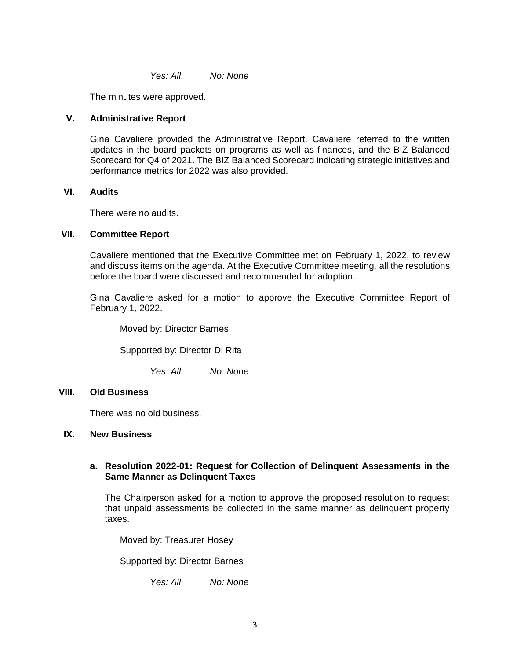*Yes: All No: None*

The minutes were approved.

## **V. Administrative Report**

Gina Cavaliere provided the Administrative Report. Cavaliere referred to the written updates in the board packets on programs as well as finances, and the BIZ Balanced Scorecard for Q4 of 2021. The BIZ Balanced Scorecard indicating strategic initiatives and performance metrics for 2022 was also provided.

### **VI. Audits**

There were no audits.

# **VII. Committee Report**

Cavaliere mentioned that the Executive Committee met on February 1, 2022, to review and discuss items on the agenda. At the Executive Committee meeting, all the resolutions before the board were discussed and recommended for adoption.

Gina Cavaliere asked for a motion to approve the Executive Committee Report of February 1, 2022.

Moved by: Director Barnes

Supported by: Director Di Rita

*Yes: All No: None*

### **VIII. Old Business**

There was no old business.

### **IX. New Business**

### **a. Resolution 2022-01: Request for Collection of Delinquent Assessments in the Same Manner as Delinquent Taxes**

The Chairperson asked for a motion to approve the proposed resolution to request that unpaid assessments be collected in the same manner as delinquent property taxes.

Moved by: Treasurer Hosey

Supported by: Director Barnes

*Yes: All No: None*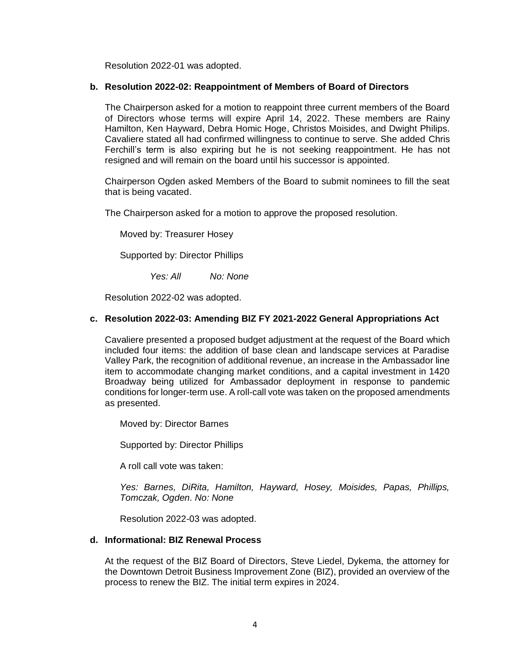Resolution 2022-01 was adopted.

# **b. Resolution 2022-02: Reappointment of Members of Board of Directors**

The Chairperson asked for a motion to reappoint three current members of the Board of Directors whose terms will expire April 14, 2022. These members are Rainy Hamilton, Ken Hayward, Debra Homic Hoge, Christos Moisides, and Dwight Philips. Cavaliere stated all had confirmed willingness to continue to serve. She added Chris Ferchill's term is also expiring but he is not seeking reappointment. He has not resigned and will remain on the board until his successor is appointed.

Chairperson Ogden asked Members of the Board to submit nominees to fill the seat that is being vacated.

The Chairperson asked for a motion to approve the proposed resolution.

Moved by: Treasurer Hosey

Supported by: Director Phillips

*Yes: All No: None*

Resolution 2022-02 was adopted.

# **c. Resolution 2022-03: Amending BIZ FY 2021-2022 General Appropriations Act**

Cavaliere presented a proposed budget adjustment at the request of the Board which included four items: the addition of base clean and landscape services at Paradise Valley Park, the recognition of additional revenue, an increase in the Ambassador line item to accommodate changing market conditions, and a capital investment in 1420 Broadway being utilized for Ambassador deployment in response to pandemic conditions for longer-term use. A roll-call vote was taken on the proposed amendments as presented.

Moved by: Director Barnes

Supported by: Director Phillips

A roll call vote was taken:

*Yes: Barnes, DiRita, Hamilton, Hayward, Hosey, Moisides, Papas, Phillips, Tomczak, Ogden. No: None*

Resolution 2022-03 was adopted.

### **d. Informational: BIZ Renewal Process**

At the request of the BIZ Board of Directors, Steve Liedel, Dykema, the attorney for the Downtown Detroit Business Improvement Zone (BIZ), provided an overview of the process to renew the BIZ. The initial term expires in 2024.